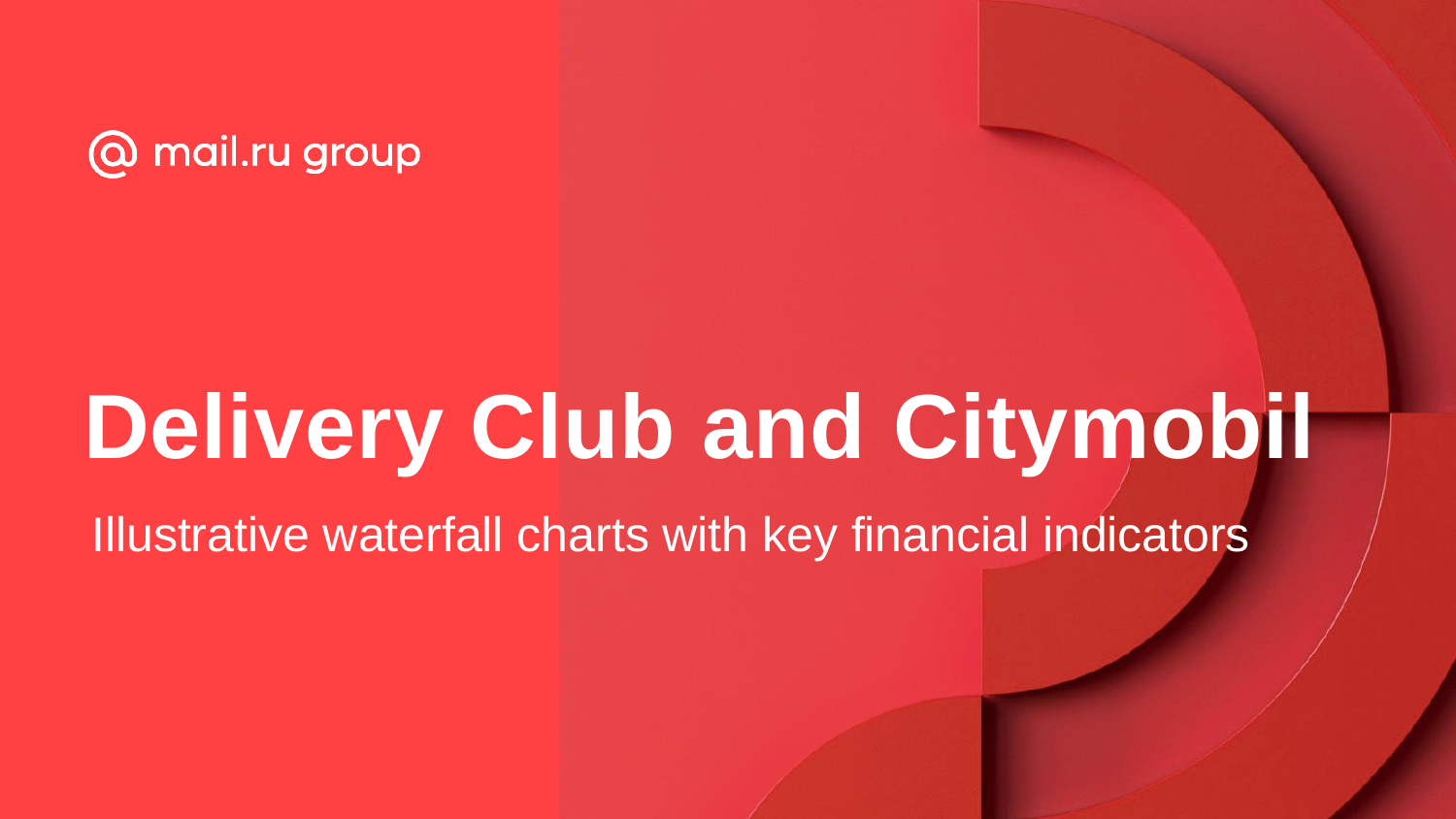

## **Delivery Club and Citymobil**

Illustrative waterfall charts with key financial indicators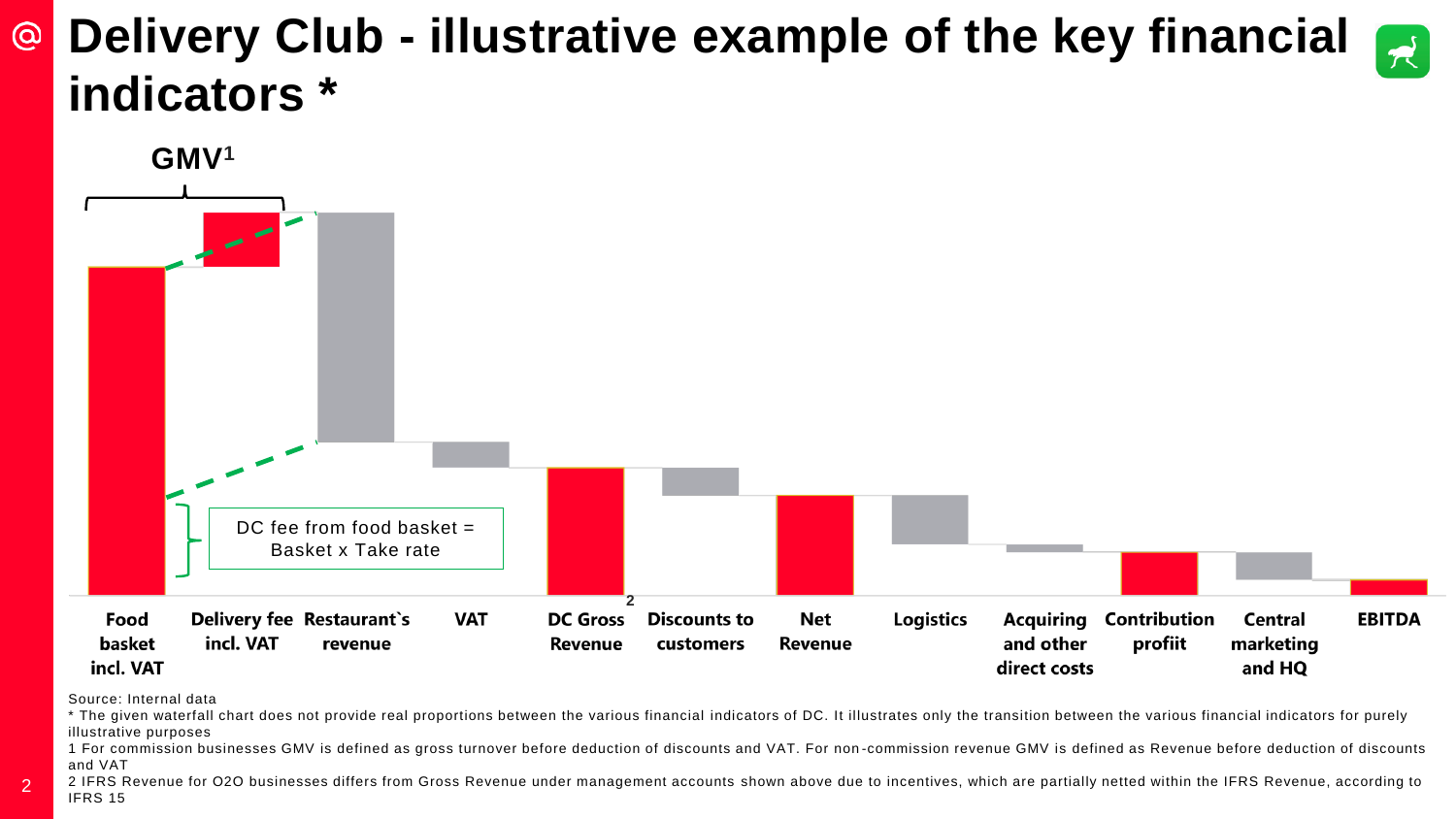## **Delivery Club - illustrative example of the key financial**   $\circledcirc$ **indicators \***



Source: Internal data

2

\* The given waterfall chart does not provide real proportions between the various financial indicators of DC. It illustrates only the transition between the various financial indicators for purely illustrative purposes

1 For commission businesses GMV is defined as gross turnover before deduction of discounts and VAT. For non -commission revenue GMV is defined as Revenue before deduction of discounts and VAT

2 IFRS Revenue for O2O businesses differs from Gross Revenue under management accounts shown above due to incentives, which are partially netted within the IFRS Revenue, according to IFRS 15